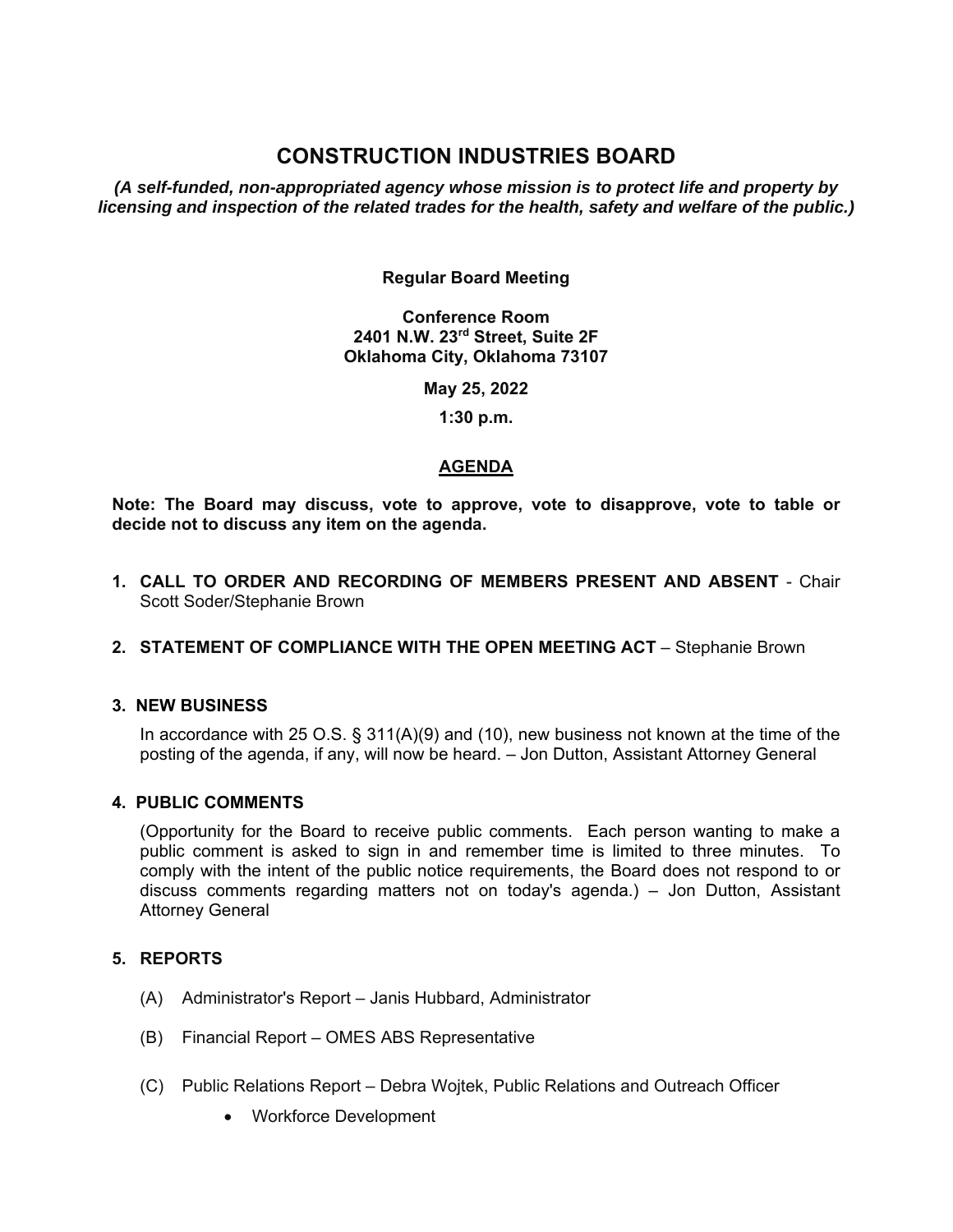# **CONSTRUCTION INDUSTRIES BOARD**

*(A self-funded, non-appropriated agency whose mission is to protect life and property by licensing and inspection of the related trades for the health, safety and welfare of the public.)* 

## **Regular Board Meeting**

**Conference Room 2401 N.W. 23rd Street, Suite 2F Oklahoma City, Oklahoma 73107** 

**May 25, 2022** 

 **1:30 p.m.** 

# **AGENDA**

**Note: The Board may discuss, vote to approve, vote to disapprove, vote to table or decide not to discuss any item on the agenda.** 

**1. CALL TO ORDER AND RECORDING OF MEMBERS PRESENT AND ABSENT** - Chair Scott Soder/Stephanie Brown

# **2. STATEMENT OF COMPLIANCE WITH THE OPEN MEETING ACT - Stephanie Brown**

# **3. NEW BUSINESS**

 In accordance with 25 O.S. § 311(A)(9) and (10), new business not known at the time of the posting of the agenda, if any, will now be heard. – Jon Dutton, Assistant Attorney General

#### **4. PUBLIC COMMENTS**

 (Opportunity for the Board to receive public comments. Each person wanting to make a public comment is asked to sign in and remember time is limited to three minutes. To comply with the intent of the public notice requirements, the Board does not respond to or discuss comments regarding matters not on today's agenda.) – Jon Dutton, Assistant Attorney General

## **5. REPORTS**

- (A) Administrator's Report Janis Hubbard, Administrator
- (B) Financial Report OMES ABS Representative
- (C) Public Relations Report Debra Wojtek, Public Relations and Outreach Officer
	- Workforce Development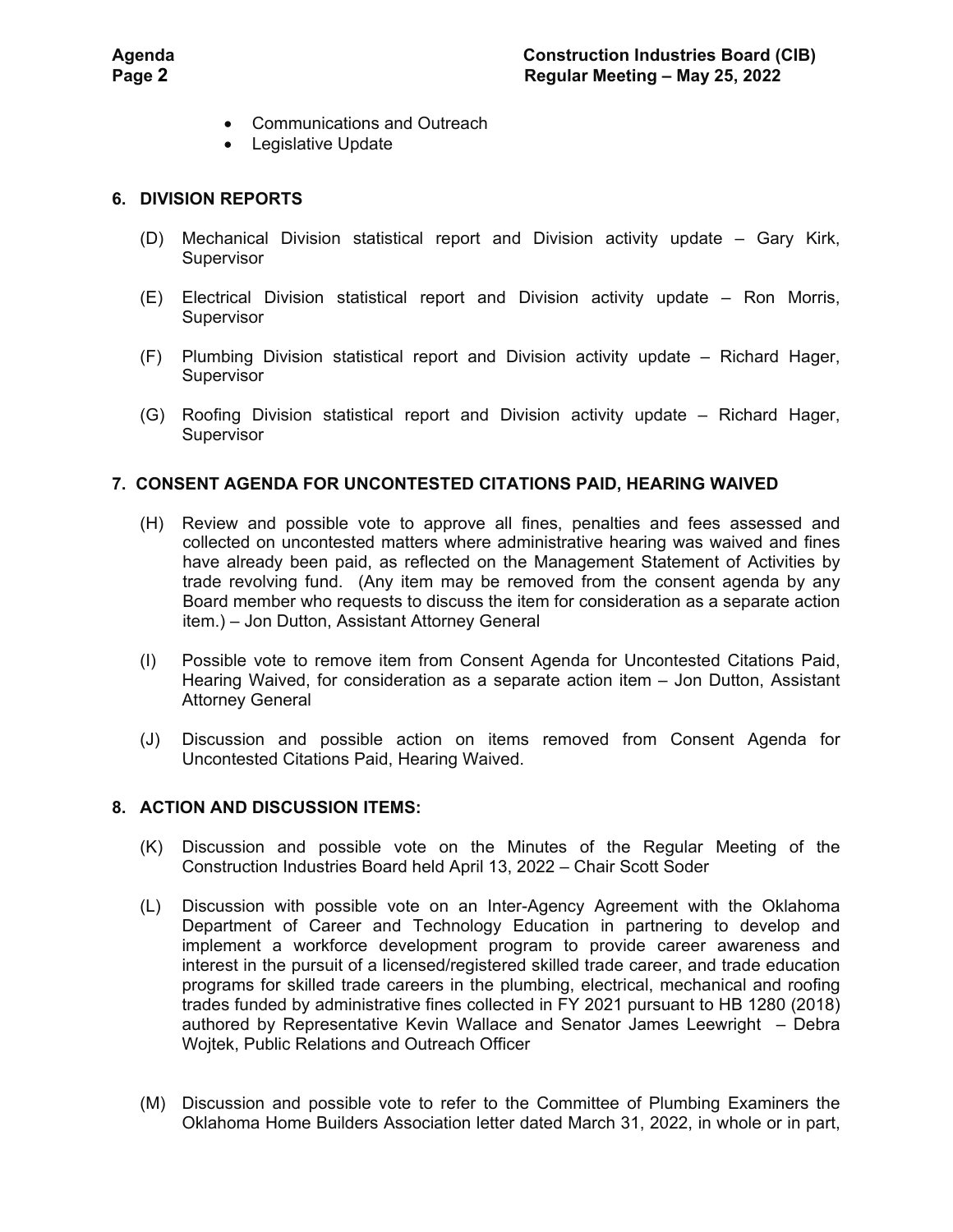- Communications and Outreach
- Legislative Update

## **6. DIVISION REPORTS**

- (D) Mechanical Division statistical report and Division activity update Gary Kirk, **Supervisor**
- (E) Electrical Division statistical report and Division activity update Ron Morris, **Supervisor**
- (F) Plumbing Division statistical report and Division activity update Richard Hager, Supervisor
- (G) Roofing Division statistical report and Division activity update Richard Hager, Supervisor

## **7. CONSENT AGENDA FOR UNCONTESTED CITATIONS PAID, HEARING WAIVED**

- (H) Review and possible vote to approve all fines, penalties and fees assessed and collected on uncontested matters where administrative hearing was waived and fines have already been paid, as reflected on the Management Statement of Activities by trade revolving fund. (Any item may be removed from the consent agenda by any Board member who requests to discuss the item for consideration as a separate action item.) – Jon Dutton, Assistant Attorney General
- (I) Possible vote to remove item from Consent Agenda for Uncontested Citations Paid, Hearing Waived, for consideration as a separate action item – Jon Dutton, Assistant Attorney General
- (J) Discussion and possible action on items removed from Consent Agenda for Uncontested Citations Paid, Hearing Waived.

#### **8. ACTION AND DISCUSSION ITEMS:**

- (K) Discussion and possible vote on the Minutes of the Regular Meeting of the Construction Industries Board held April 13, 2022 – Chair Scott Soder
- (L) Discussion with possible vote on an Inter-Agency Agreement with the Oklahoma Department of Career and Technology Education in partnering to develop and implement a workforce development program to provide career awareness and interest in the pursuit of a licensed/registered skilled trade career, and trade education programs for skilled trade careers in the plumbing, electrical, mechanical and roofing trades funded by administrative fines collected in FY 2021 pursuant to HB 1280 (2018) authored by Representative Kevin Wallace and Senator James Leewright – Debra Wojtek, Public Relations and Outreach Officer
- (M) Discussion and possible vote to refer to the Committee of Plumbing Examiners the Oklahoma Home Builders Association letter dated March 31, 2022, in whole or in part,